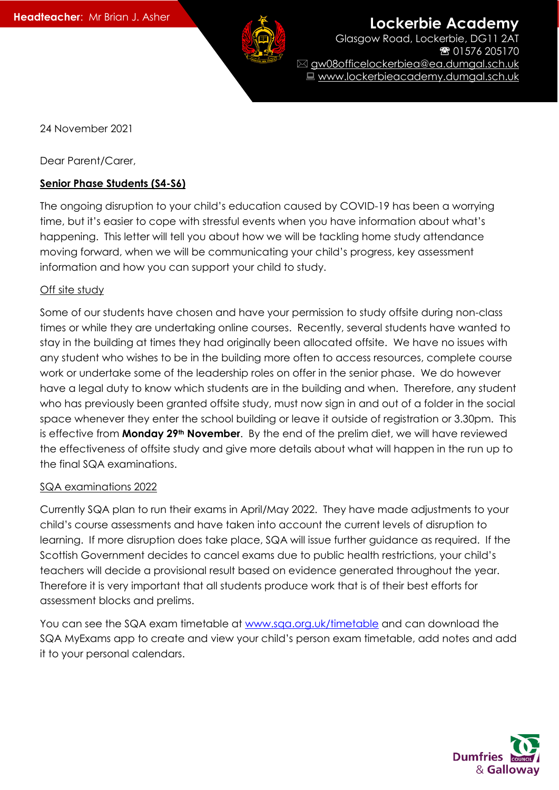

**Lockerbie Academy** 

Glasgow Road, Lockerbie, DG11 2AT 01576 205170 gw08officelockerbiea@ea.dumgal.sch.uk ■ www.lockerbieacademy.dumgal.sch.uk

24 November 2021

Dear Parent/Carer,

## **Senior Phase Students (S4-S6)**

The ongoing disruption to your child's education caused by COVID-19 has been a worrying time, but it's easier to cope with stressful events when you have information about what's happening. This letter will tell you about how we will be tackling home study attendance moving forward, when we will be communicating your child's progress, key assessment information and how you can support your child to study.

## Off site study

Some of our students have chosen and have your permission to study offsite during non-class times or while they are undertaking online courses. Recently, several students have wanted to stay in the building at times they had originally been allocated offsite. We have no issues with any student who wishes to be in the building more often to access resources, complete course work or undertake some of the leadership roles on offer in the senior phase. We do however have a legal duty to know which students are in the building and when. Therefore, any student who has previously been granted offsite study, must now sign in and out of a folder in the social space whenever they enter the school building or leave it outside of registration or 3.30pm. This is effective from **Monday 29th November**. By the end of the prelim diet, we will have reviewed the effectiveness of offsite study and give more details about what will happen in the run up to the final SQA examinations.

## SQA examinations 2022

Currently SQA plan to run their exams in April/May 2022. They have made adjustments to your child's course assessments and have taken into account the current levels of disruption to learning. If more disruption does take place, SQA will issue further guidance as required. If the Scottish Government decides to cancel exams due to public health restrictions, your child's teachers will decide a provisional result based on evidence generated throughout the year. Therefore it is very important that all students produce work that is of their best efforts for assessment blocks and prelims.

You can see the SQA exam timetable at [www.sqa.org.uk/timetable](http://www.sqa.org.uk/timetable) and can download the SQA MyExams app to create and view your child's person exam timetable, add notes and add it to your personal calendars.